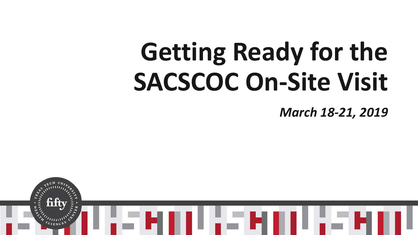# **Getting Ready for the SACSCOC On-Site Visit** *March 18-21, 2019*

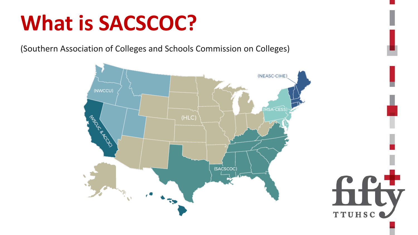### **What is SACSCOC?**

(Southern Association of Colleges and Schools Commission on Colleges)



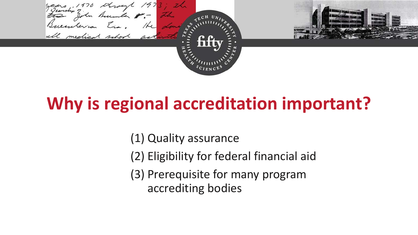(1) Quality assurance

(2) Eligibility for federal financial aid

(3) Prerequisite for many program accrediting bodies





#### **Why is regional accreditation important?**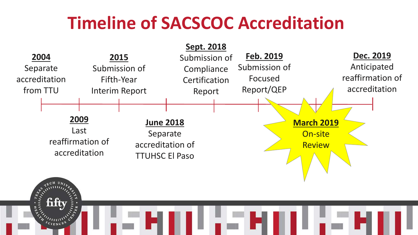#### **Timeline of SACSCOC Accreditation**

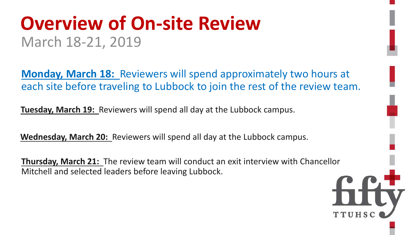#### **Overview of On-site Review** March 18-21, 2019

**Monday, March 18:** Reviewers will spend approximately two hours at each site before traveling to Lubbock to join the rest of the review team.

**Tuesday, March 19:** Reviewers will spend all day at the Lubbock campus.

**Wednesday, March 20:** Reviewers will spend all day at the Lubbock campus.

**Thursday, March 21:** The review team will conduct an exit interview with Chancellor Mitchell and selected leaders before leaving Lubbock.

- 
- 
- 

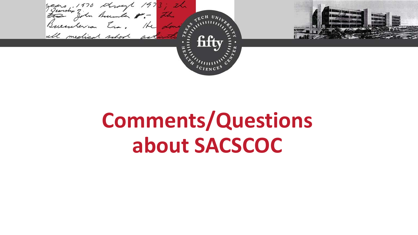

## **Comments/Questions about SACSCOC**

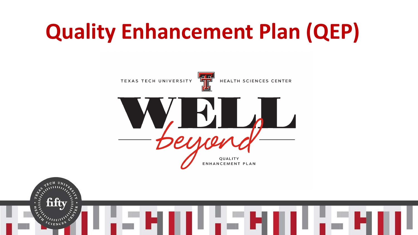# **Quality Enhancement Plan (QEP)**



fift



HEALTH SCIENCES CENTER





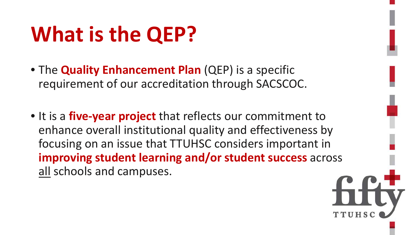### **What is the QEP?**

- The **Quality Enhancement Plan** (QEP) is a specific requirement of our accreditation through SACSCOC.
- It is a **five-year project** that reflects our commitment to enhance overall institutional quality and effectiveness by focusing on an issue that TTUHSC considers important in **improving student learning and/or student success** across all schools and campuses.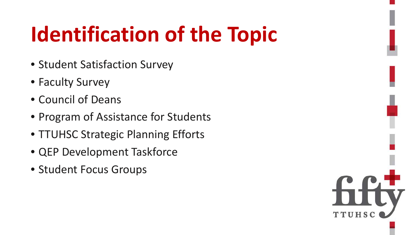### **Identification of the Topic**

- Student Satisfaction Survey
- Faculty Survey
- Council of Deans
- Program of Assistance for Students
- TTUHSC Strategic Planning Efforts
- QEP Development Taskforce
- Student Focus Groups

TTUHS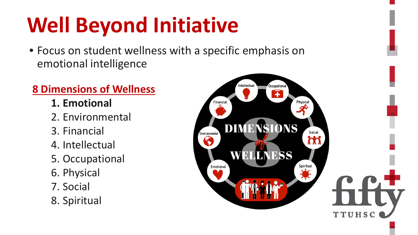# **Well Beyond Initiative**

• Focus on student wellness with a specific emphasis on emotional intelligence

#### **8 Dimensions of Wellness**

- **1. Emotional**
- 2. Environmental
- 3. Financial
- 4. Intellectual
- 5. Occupational
- 6. Physical
- 7. Social
- 8. Spiritual

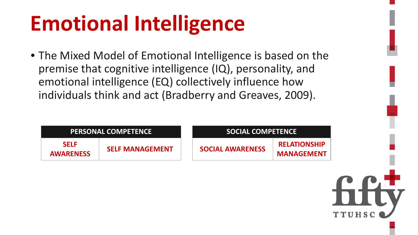## **Emotional Intelligence**

• The Mixed Model of Emotional Intelligence is based on the premise that cognitive intelligence (IQ), personality, and emotional intelligence (EQ) collectively influence how individuals think and act (Bradberry and Greaves, 2009).

| <b>PERSONAL COMPETENCE</b>      |                        | <b>SOCIAL COMPETENCE</b> |                                          |
|---------------------------------|------------------------|--------------------------|------------------------------------------|
| <b>SELF</b><br><b>AWARENESS</b> | <b>SELF MANAGEMENT</b> | <b>SOCIAL AWARENESS</b>  | <b>RELATIONSHIP</b><br><b>MANAGEMENT</b> |

#### **MPETENCE**

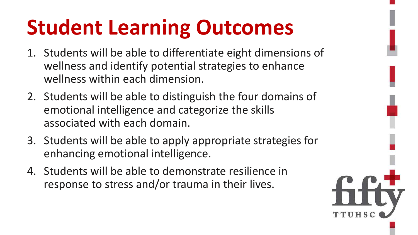### **Student Learning Outcomes**

- 1. Students will be able to differentiate eight dimensions of wellness and identify potential strategies to enhance wellness within each dimension.
- 2. Students will be able to distinguish the four domains of emotional intelligence and categorize the skills associated with each domain.
- 3. Students will be able to apply appropriate strategies for enhancing emotional intelligence.
- 4. Students will be able to demonstrate resilience in response to stress and/or trauma in their lives.



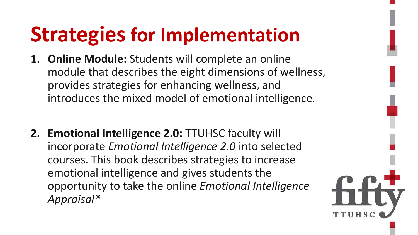#### **Strategies for Implementation**

- **1. Online Module:** Students will complete an online module that describes the eight dimensions of wellness, provides strategies for enhancing wellness, and introduces the mixed model of emotional intelligence.
- **2. Emotional Intelligence 2.0:** TTUHSC faculty will incorporate *Emotional Intelligence 2.0* into selected courses. This book describes strategies to increase emotional intelligence and gives students the opportunity to take the online *Emotional Intelligence Appraisal®*

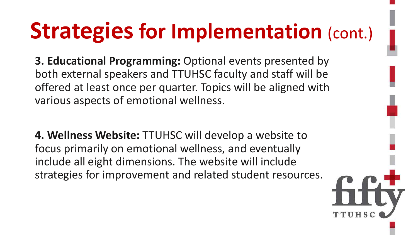**3. Educational Programming:** Optional events presented by both external speakers and TTUHSC faculty and staff will be offered at least once per quarter. Topics will be aligned with various aspects of emotional wellness.

**4. Wellness Website:** TTUHSC will develop a website to focus primarily on emotional wellness, and eventually include all eight dimensions. The website will include strategies for improvement and related student resources.



# **Strategies for Implementation** (cont.)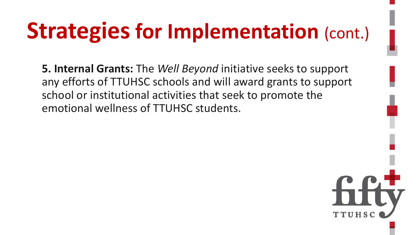# **Strategies for Implementation (cont.)**

**5. Internal Grants:** The *Well Beyond* initiative seeks to support any efforts of TTUHSC schools and will award grants to support school or institutional activities that seek to promote the emotional wellness of TTUHSC students.

TTUHS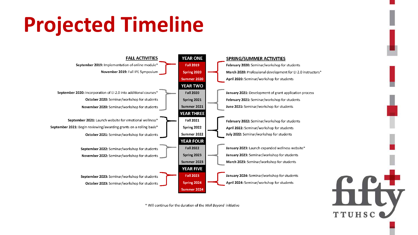## **Projected Timeline**



\* Will continue for the duration of the Well Beyond initiative

February 2020: Seminar/workshop for students March 2020: Professional development for EI 2.0 instructors\*

January 2021: Development of grant application process February 2021: Seminar/workshop for students

January 2023: Launch expanded wellness website\* January 2023: Seminar/workshop for students

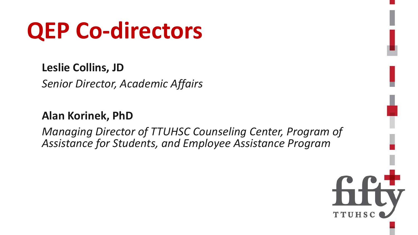#### **Leslie Collins, JD**

*Senior Director, Academic Affairs*

#### **Alan Korinek, PhD**

*Managing Director of TTUHSC Counseling Center, Program of Assistance for Students, and Employee Assistance Program*



## **QEP Co-directors**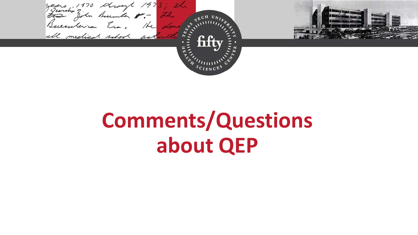

## **Comments/Questions about QEP**